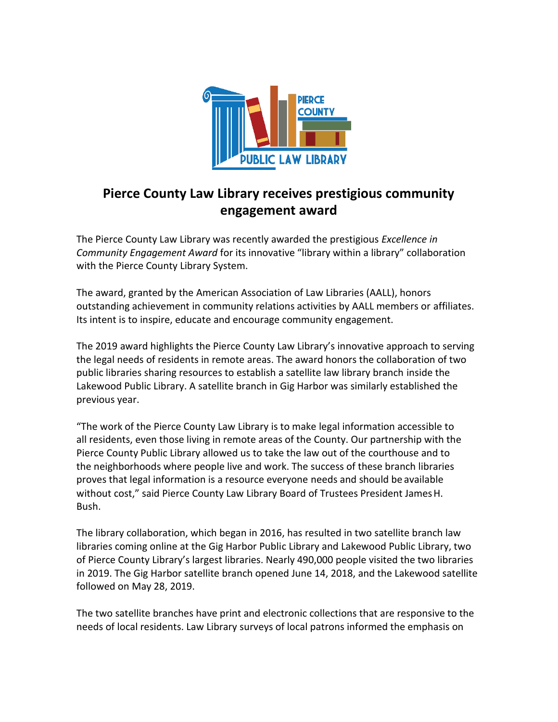

## **Pierce County Law Library receives prestigious community engagement award**

The Pierce County Law Library was recently awarded the prestigious *Excellence in Community Engagement Award* for its innovative "library within a library" collaboration with the Pierce County Library System.

The award, granted by the American Association of Law Libraries (AALL), honors outstanding achievement in community relations activities by AALL members or affiliates. Its intent is to inspire, educate and encourage community engagement.

The 2019 award highlights the Pierce County Law Library's innovative approach to serving the legal needs of residents in remote areas. The award honors the collaboration of two public libraries sharing resources to establish a satellite law library branch inside the Lakewood Public Library. A satellite branch in Gig Harbor was similarly established the previous year.

"The work of the Pierce County Law Library is to make legal information accessible to all residents, even those living in remote areas of the County. Our partnership with the Pierce County Public Library allowed us to take the law out of the courthouse and to the neighborhoods where people live and work. The success of these branch libraries proves that legal information is a resource everyone needs and should be available without cost," said Pierce County Law Library Board of Trustees President JamesH. Bush.

The library collaboration, which began in 2016, has resulted in two satellite branch law libraries coming online at the Gig Harbor Public Library and Lakewood Public Library, two of Pierce County Library's largest libraries. Nearly 490,000 people visited the two libraries in 2019. The Gig Harbor satellite branch opened June 14, 2018, and the Lakewood satellite followed on May 28, 2019.

The two satellite branches have print and electronic collections that are responsive to the needs of local residents. Law Library surveys of local patrons informed the emphasis on